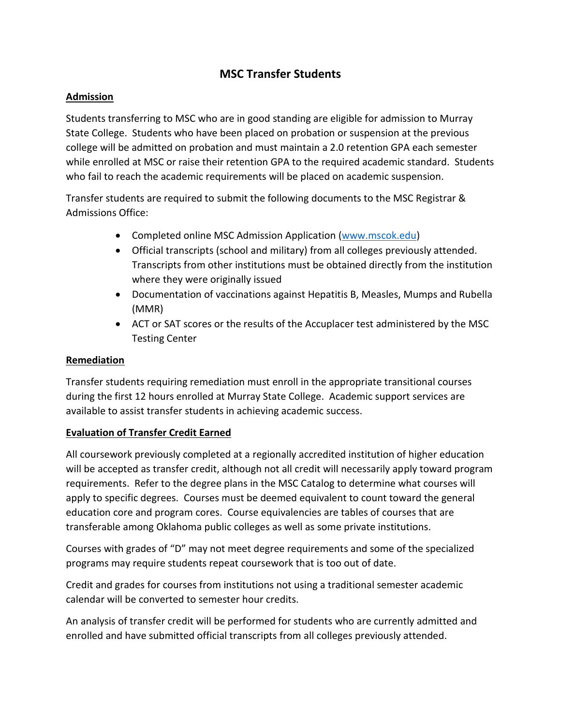# **MSC Transfer Students**

### **Admission**

Students transferring to MSC who are in good standing are eligible for admission to Murray State College. Students who have been placed on probation or suspension at the previous college will be admitted on probation and must maintain a 2.0 retention GPA each semester while enrolled at MSC or raise their retention GPA to the required academic standard. Students who fail to reach the academic requirements will be placed on academic suspension.

Transfer students are required to submit the following documents to the MSC Registrar & Admissions Office:

- Completed online MSC Admission Application [\(www.mscok.edu\)](http://www.mscok.edu/)
- Official transcripts (school and military) from all colleges previously attended. Transcripts from other institutions must be obtained directly from the institution where they were originally issued
- Documentation of vaccinations against Hepatitis B, Measles, Mumps and Rubella (MMR)
- ACT or SAT scores or the results of the Accuplacer test administered by the MSC Testing Center

### **Remediation**

Transfer students requiring remediation must enroll in the appropriate transitional courses during the first 12 hours enrolled at Murray State College. Academic support services are available to assist transfer students in achieving academic success.

## **Evaluation of Transfer Credit Earned**

All coursework previously completed at a regionally accredited institution of higher education will be accepted as transfer credit, although not all credit will necessarily apply toward program requirements. Refer to the degree plans in the MSC Catalog to determine what courses will apply to specific degrees. Courses must be deemed equivalent to count toward the general education core and program cores. Course equivalencies are tables of courses that are transferable among Oklahoma public colleges as well as some private institutions.

Courses with grades of "D" may not meet degree requirements and some of the specialized programs may require students repeat coursework that is too out of date.

Credit and grades for courses from institutions not using a traditional semester academic calendar will be converted to semester hour credits.

An analysis of transfer credit will be performed for students who are currently admitted and enrolled and have submitted official transcripts from all colleges previously attended.